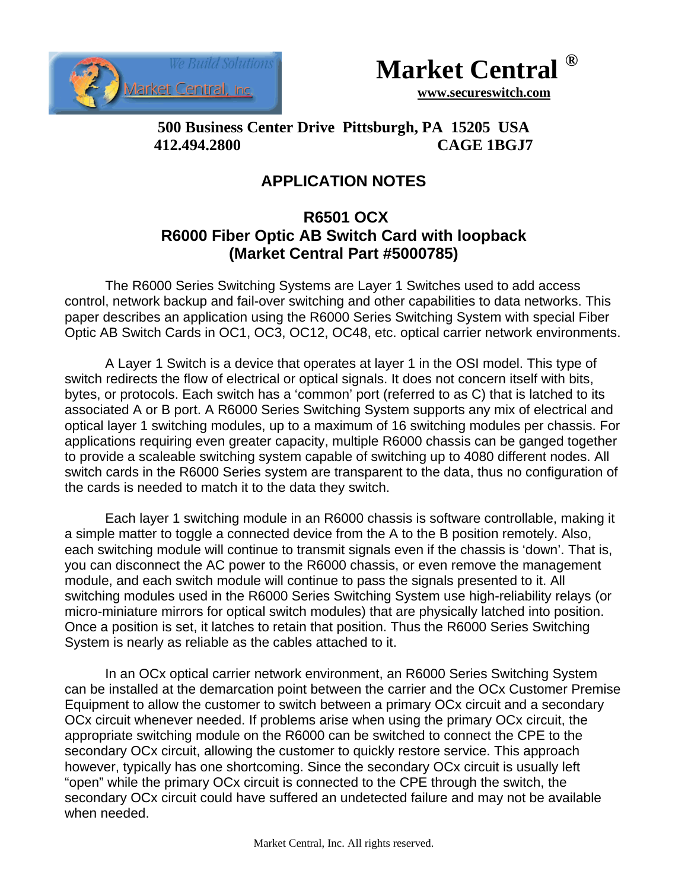



 **www.secureswitch.com**

**500 Business Center Drive Pittsburgh, PA 15205 USA 412.494.2800 CAGE 1BGJ7**

## **APPLICATION NOTES**

## **R6501 OCX R6000 Fiber Optic AB Switch Card with loopback (Market Central Part #5000785)**

The R6000 Series Switching Systems are Layer 1 Switches used to add access control, network backup and fail-over switching and other capabilities to data networks. This paper describes an application using the R6000 Series Switching System with special Fiber Optic AB Switch Cards in OC1, OC3, OC12, OC48, etc. optical carrier network environments.

A Layer 1 Switch is a device that operates at layer 1 in the OSI model. This type of switch redirects the flow of electrical or optical signals. It does not concern itself with bits, bytes, or protocols. Each switch has a 'common' port (referred to as C) that is latched to its associated A or B port. A R6000 Series Switching System supports any mix of electrical and optical layer 1 switching modules, up to a maximum of 16 switching modules per chassis. For applications requiring even greater capacity, multiple R6000 chassis can be ganged together to provide a scaleable switching system capable of switching up to 4080 different nodes. All switch cards in the R6000 Series system are transparent to the data, thus no configuration of the cards is needed to match it to the data they switch.

Each layer 1 switching module in an R6000 chassis is software controllable, making it a simple matter to toggle a connected device from the A to the B position remotely. Also, each switching module will continue to transmit signals even if the chassis is 'down'. That is, you can disconnect the AC power to the R6000 chassis, or even remove the management module, and each switch module will continue to pass the signals presented to it. All switching modules used in the R6000 Series Switching System use high-reliability relays (or micro-miniature mirrors for optical switch modules) that are physically latched into position. Once a position is set, it latches to retain that position. Thus the R6000 Series Switching System is nearly as reliable as the cables attached to it.

In an OCx optical carrier network environment, an R6000 Series Switching System can be installed at the demarcation point between the carrier and the OCx Customer Premise Equipment to allow the customer to switch between a primary OCx circuit and a secondary OCx circuit whenever needed. If problems arise when using the primary OCx circuit, the appropriate switching module on the R6000 can be switched to connect the CPE to the secondary OCx circuit, allowing the customer to quickly restore service. This approach however, typically has one shortcoming. Since the secondary OCx circuit is usually left "open" while the primary OCx circuit is connected to the CPE through the switch, the secondary OCx circuit could have suffered an undetected failure and may not be available when needed.